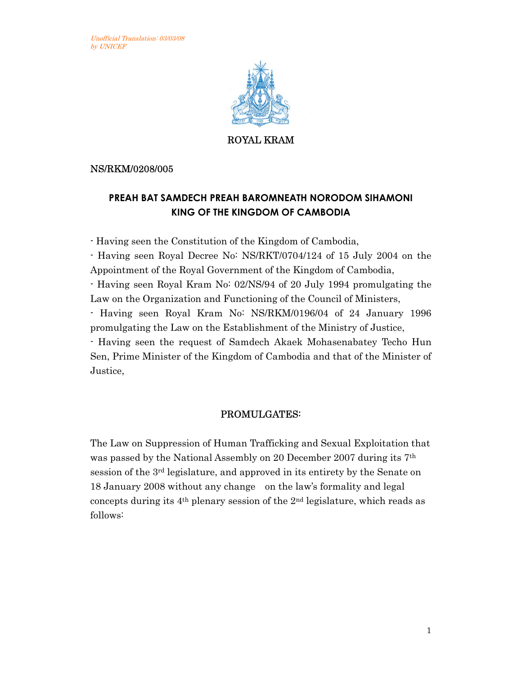

ROYAL KRAM

NS/RKM/0208/005

## **PREAH BAT SAMDECH PREAH BAROMNEATH NORODOM SIHAMONI KING OF THE KINGDOM OF CAMBODIA**

- Having seen the Constitution of the Kingdom of Cambodia,

- Having seen Royal Decree No: NS/RKT/0704/124 of 15 July 2004 on the Appointment of the Royal Government of the Kingdom of Cambodia,

- Having seen Royal Kram No: 02/NS/94 of 20 July 1994 promulgating the Law on the Organization and Functioning of the Council of Ministers,

- Having seen Royal Kram No: NS/RKM/0196/04 of 24 January 1996 promulgating the Law on the Establishment of the Ministry of Justice,

- Having seen the request of Samdech Akaek Mohasenabatey Techo Hun Sen, Prime Minister of the Kingdom of Cambodia and that of the Minister of Justice,

## PROMULGATES:

The Law on Suppression of Human Trafficking and Sexual Exploitation that was passed by the National Assembly on 20 December 2007 during its 7th session of the 3rd legislature, and approved in its entirety by the Senate on 18 January 2008 without any change on the law's formality and legal concepts during its 4th plenary session of the 2nd legislature, which reads as follows: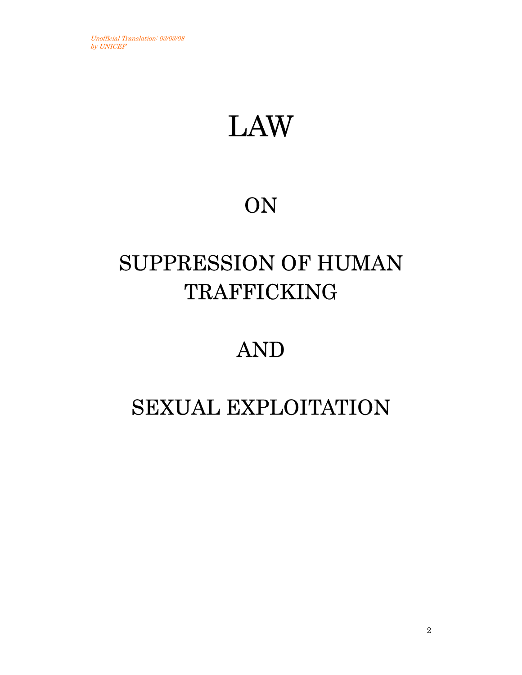# LAW

## ON

## SUPPRESSION OF HUMAN **TRAFFICKING**

## AND

## SEXUAL EXPLOITATION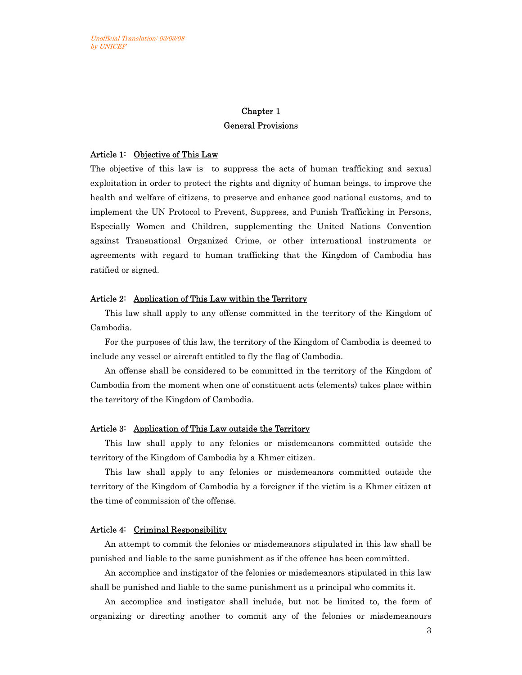### Chapter 1 General Provisions

#### Article 1: Objective of This Law

The objective of this law is to suppress the acts of human trafficking and sexual exploitation in order to protect the rights and dignity of human beings, to improve the health and welfare of citizens, to preserve and enhance good national customs, and to implement the UN Protocol to Prevent, Suppress, and Punish Trafficking in Persons, Especially Women and Children, supplementing the United Nations Convention against Transnational Organized Crime, or other international instruments or agreements with regard to human trafficking that the Kingdom of Cambodia has ratified or signed.

#### Article 2: Application of This Law within the Territory

This law shall apply to any offense committed in the territory of the Kingdom of Cambodia.

For the purposes of this law, the territory of the Kingdom of Cambodia is deemed to include any vessel or aircraft entitled to fly the flag of Cambodia.

An offense shall be considered to be committed in the territory of the Kingdom of Cambodia from the moment when one of constituent acts (elements) takes place within the territory of the Kingdom of Cambodia.

#### Article 3: Application of This Law outside the Territory

This law shall apply to any felonies or misdemeanors committed outside the territory of the Kingdom of Cambodia by a Khmer citizen.

This law shall apply to any felonies or misdemeanors committed outside the territory of the Kingdom of Cambodia by a foreigner if the victim is a Khmer citizen at the time of commission of the offense.

#### Article 4: Criminal Responsibility

An attempt to commit the felonies or misdemeanors stipulated in this law shall be punished and liable to the same punishment as if the offence has been committed.

An accomplice and instigator of the felonies or misdemeanors stipulated in this law shall be punished and liable to the same punishment as a principal who commits it.

An accomplice and instigator shall include, but not be limited to, the form of organizing or directing another to commit any of the felonies or misdemeanours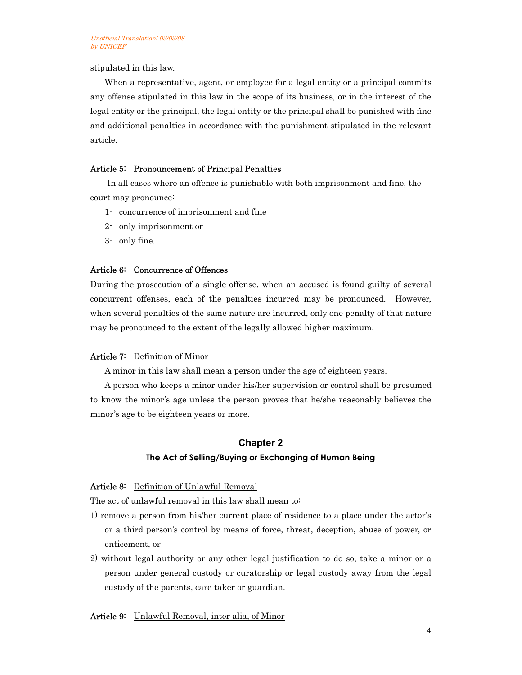stipulated in this law.

When a representative, agent, or employee for a legal entity or a principal commits any offense stipulated in this law in the scope of its business, or in the interest of the legal entity or the principal, the legal entity or the principal shall be punished with fine and additional penalties in accordance with the punishment stipulated in the relevant article.

#### Article 5: Pronouncement of Principal Penalties

In all cases where an offence is punishable with both imprisonment and fine, the court may pronounce:

- 1- concurrence of imprisonment and fine
- 2- only imprisonment or
- 3- only fine.

#### Article 6: Concurrence of Offences

During the prosecution of a single offense, when an accused is found guilty of several concurrent offenses, each of the penalties incurred may be pronounced. However, when several penalties of the same nature are incurred, only one penalty of that nature may be pronounced to the extent of the legally allowed higher maximum.

#### Article 7: Definition of Minor

A minor in this law shall mean a person under the age of eighteen years.

A person who keeps a minor under his/her supervision or control shall be presumed to know the minor's age unless the person proves that he/she reasonably believes the minor's age to be eighteen years or more.

## **Chapter 2 The Act of Selling/Buying or Exchanging of Human Being**

#### Article 8: Definition of Unlawful Removal

The act of unlawful removal in this law shall mean to:

- 1) remove a person from his/her current place of residence to a place under the actor's or a third person's control by means of force, threat, deception, abuse of power, or enticement, or
- 2) without legal authority or any other legal justification to do so, take a minor or a person under general custody or curatorship or legal custody away from the legal custody of the parents, care taker or guardian.

#### Article 9: Unlawful Removal, inter alia, of Minor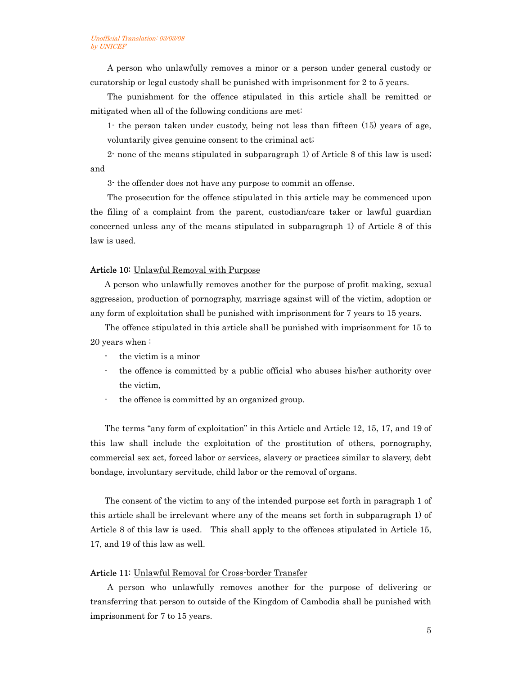A person who unlawfully removes a minor or a person under general custody or curatorship or legal custody shall be punished with imprisonment for 2 to 5 years.

The punishment for the offence stipulated in this article shall be remitted or mitigated when all of the following conditions are met:

1- the person taken under custody, being not less than fifteen (15) years of age, voluntarily gives genuine consent to the criminal act;

2- none of the means stipulated in subparagraph 1) of Article 8 of this law is used; and

3- the offender does not have any purpose to commit an offense.

The prosecution for the offence stipulated in this article may be commenced upon the filing of a complaint from the parent, custodian/care taker or lawful guardian concerned unless any of the means stipulated in subparagraph 1) of Article 8 of this law is used.

#### Article 10: Unlawful Removal with Purpose

A person who unlawfully removes another for the purpose of profit making, sexual aggression, production of pornography, marriage against will of the victim, adoption or any form of exploitation shall be punished with imprisonment for 7 years to 15 years.

The offence stipulated in this article shall be punished with imprisonment for 15 to 20 years when :

- the victim is a minor
- the offence is committed by a public official who abuses his/her authority over the victim,
- the offence is committed by an organized group.

The terms "any form of exploitation" in this Article and Article 12, 15, 17, and 19 of this law shall include the exploitation of the prostitution of others, pornography, commercial sex act, forced labor or services, slavery or practices similar to slavery, debt bondage, involuntary servitude, child labor or the removal of organs.

The consent of the victim to any of the intended purpose set forth in paragraph 1 of this article shall be irrelevant where any of the means set forth in subparagraph 1) of Article 8 of this law is used. This shall apply to the offences stipulated in Article 15, 17, and 19 of this law as well.

#### Article 11: Unlawful Removal for Cross-border Transfer

A person who unlawfully removes another for the purpose of delivering or transferring that person to outside of the Kingdom of Cambodia shall be punished with imprisonment for 7 to 15 years.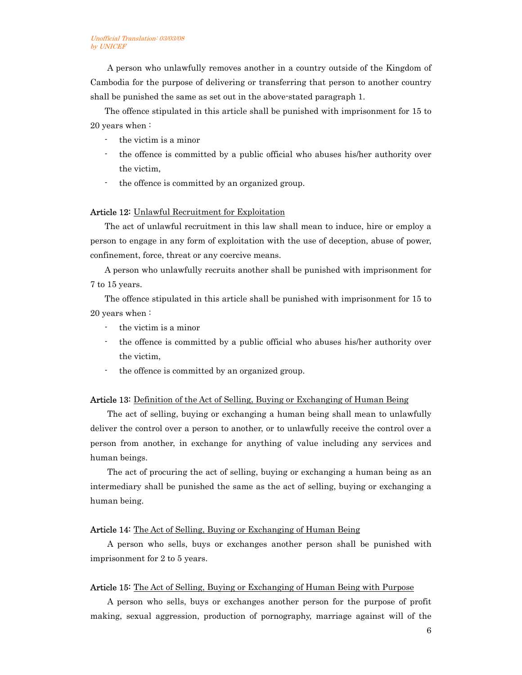A person who unlawfully removes another in a country outside of the Kingdom of Cambodia for the purpose of delivering or transferring that person to another country shall be punished the same as set out in the above-stated paragraph 1.

The offence stipulated in this article shall be punished with imprisonment for 15 to 20 years when :

- the victim is a minor
- the offence is committed by a public official who abuses his/her authority over the victim,
- the offence is committed by an organized group.

#### Article 12: Unlawful Recruitment for Exploitation

The act of unlawful recruitment in this law shall mean to induce, hire or employ a person to engage in any form of exploitation with the use of deception, abuse of power, confinement, force, threat or any coercive means.

A person who unlawfully recruits another shall be punished with imprisonment for 7 to 15 years.

The offence stipulated in this article shall be punished with imprisonment for 15 to 20 years when :

- the victim is a minor
- the offence is committed by a public official who abuses his/her authority over the victim,
- the offence is committed by an organized group.

#### Article 13: Definition of the Act of Selling, Buying or Exchanging of Human Being

The act of selling, buying or exchanging a human being shall mean to unlawfully deliver the control over a person to another, or to unlawfully receive the control over a person from another, in exchange for anything of value including any services and human beings.

The act of procuring the act of selling, buying or exchanging a human being as an intermediary shall be punished the same as the act of selling, buying or exchanging a human being.

#### Article 14: The Act of Selling, Buying or Exchanging of Human Being

A person who sells, buys or exchanges another person shall be punished with imprisonment for 2 to 5 years.

#### Article 15: The Act of Selling, Buying or Exchanging of Human Being with Purpose

A person who sells, buys or exchanges another person for the purpose of profit making, sexual aggression, production of pornography, marriage against will of the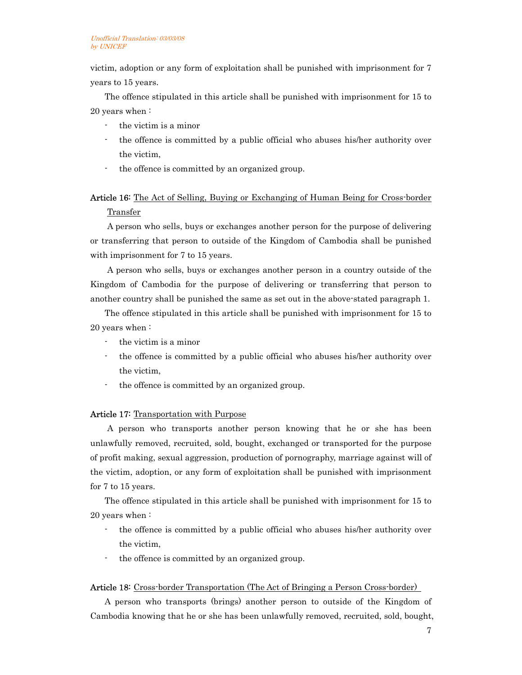victim, adoption or any form of exploitation shall be punished with imprisonment for 7 years to 15 years.

The offence stipulated in this article shall be punished with imprisonment for 15 to 20 years when :

- the victim is a minor
- the offence is committed by a public official who abuses his/her authority over the victim,
- the offence is committed by an organized group.

### Article 16: The Act of Selling, Buying or Exchanging of Human Being for Cross-border Transfer

A person who sells, buys or exchanges another person for the purpose of delivering or transferring that person to outside of the Kingdom of Cambodia shall be punished with imprisonment for 7 to 15 years.

A person who sells, buys or exchanges another person in a country outside of the Kingdom of Cambodia for the purpose of delivering or transferring that person to another country shall be punished the same as set out in the above-stated paragraph 1.

The offence stipulated in this article shall be punished with imprisonment for 15 to 20 years when :

- the victim is a minor
- the offence is committed by a public official who abuses his/her authority over the victim,
- the offence is committed by an organized group.

#### Article 17: Transportation with Purpose

A person who transports another person knowing that he or she has been unlawfully removed, recruited, sold, bought, exchanged or transported for the purpose of profit making, sexual aggression, production of pornography, marriage against will of the victim, adoption, or any form of exploitation shall be punished with imprisonment for 7 to 15 years.

The offence stipulated in this article shall be punished with imprisonment for 15 to 20 years when :

- the offence is committed by a public official who abuses his/her authority over the victim,
- the offence is committed by an organized group.

#### Article 18: Cross-border Transportation (The Act of Bringing a Person Cross-border)

A person who transports (brings) another person to outside of the Kingdom of Cambodia knowing that he or she has been unlawfully removed, recruited, sold, bought,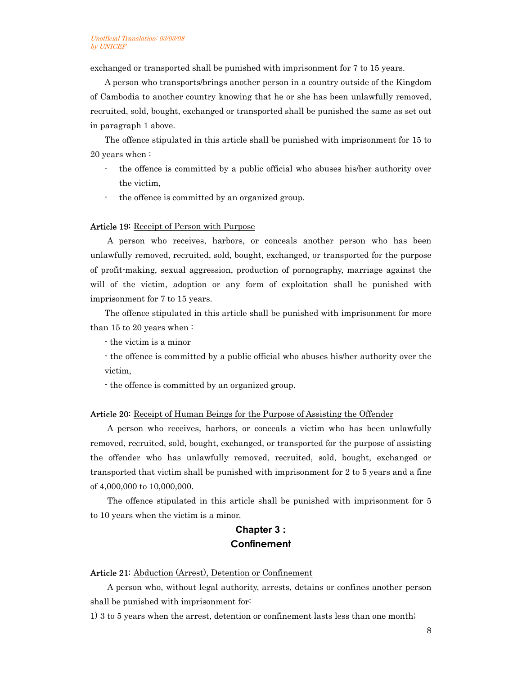exchanged or transported shall be punished with imprisonment for 7 to 15 years.

A person who transports/brings another person in a country outside of the Kingdom of Cambodia to another country knowing that he or she has been unlawfully removed, recruited, sold, bought, exchanged or transported shall be punished the same as set out in paragraph 1 above.

The offence stipulated in this article shall be punished with imprisonment for 15 to 20 years when :

- the offence is committed by a public official who abuses his/her authority over the victim,
- the offence is committed by an organized group.

#### Article 19: Receipt of Person with Purpose

A person who receives, harbors, or conceals another person who has been unlawfully removed, recruited, sold, bought, exchanged, or transported for the purpose of profit-making, sexual aggression, production of pornography, marriage against the will of the victim, adoption or any form of exploitation shall be punished with imprisonment for 7 to 15 years.

The offence stipulated in this article shall be punished with imprisonment for more than 15 to 20 years when :

- the victim is a minor

- the offence is committed by a public official who abuses his/her authority over the victim,

- the offence is committed by an organized group.

#### Article 20: Receipt of Human Beings for the Purpose of Assisting the Offender

A person who receives, harbors, or conceals a victim who has been unlawfully removed, recruited, sold, bought, exchanged, or transported for the purpose of assisting the offender who has unlawfully removed, recruited, sold, bought, exchanged or transported that victim shall be punished with imprisonment for 2 to 5 years and a fine of 4,000,000 to 10,000,000.

The offence stipulated in this article shall be punished with imprisonment for 5 to 10 years when the victim is a minor.

## **Chapter 3 : Confinement**

#### Article 21: Abduction (Arrest), Detention or Confinement

A person who, without legal authority, arrests, detains or confines another person shall be punished with imprisonment for:

1) 3 to 5 years when the arrest, detention or confinement lasts less than one month;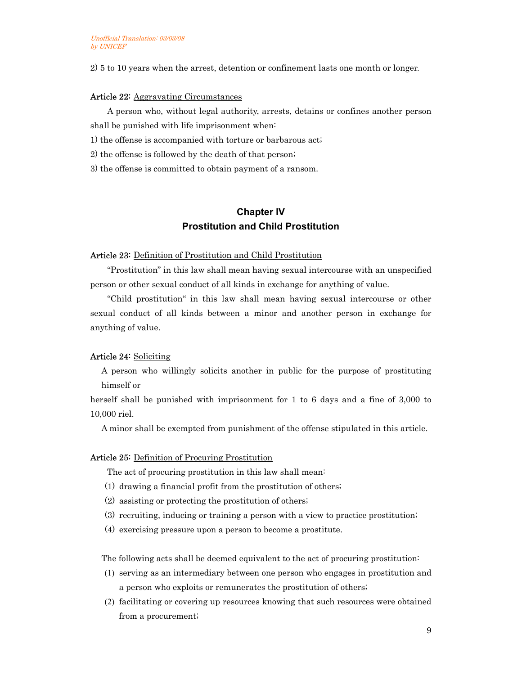2) 5 to 10 years when the arrest, detention or confinement lasts one month or longer.

#### Article 22: Aggravating Circumstances

A person who, without legal authority, arrests, detains or confines another person shall be punished with life imprisonment when:

1) the offense is accompanied with torture or barbarous act;

2) the offense is followed by the death of that person;

3) the offense is committed to obtain payment of a ransom.

## **Chapter IV Prostitution and Child Prostitution**

#### Article 23: Definition of Prostitution and Child Prostitution

"Prostitution" in this law shall mean having sexual intercourse with an unspecified person or other sexual conduct of all kinds in exchange for anything of value.

"Child prostitution" in this law shall mean having sexual intercourse or other sexual conduct of all kinds between a minor and another person in exchange for anything of value.

#### Article 24: Soliciting

A person who willingly solicits another in public for the purpose of prostituting himself or

herself shall be punished with imprisonment for 1 to 6 days and a fine of 3,000 to 10,000 riel.

A minor shall be exempted from punishment of the offense stipulated in this article.

#### Article 25: Definition of Procuring Prostitution

The act of procuring prostitution in this law shall mean:

- (1) drawing a financial profit from the prostitution of others;
- (2) assisting or protecting the prostitution of others;
- (3) recruiting, inducing or training a person with a view to practice prostitution;
- (4) exercising pressure upon a person to become a prostitute.

The following acts shall be deemed equivalent to the act of procuring prostitution:

- (1) serving as an intermediary between one person who engages in prostitution and a person who exploits or remunerates the prostitution of others;
- (2) facilitating or covering up resources knowing that such resources were obtained from a procurement;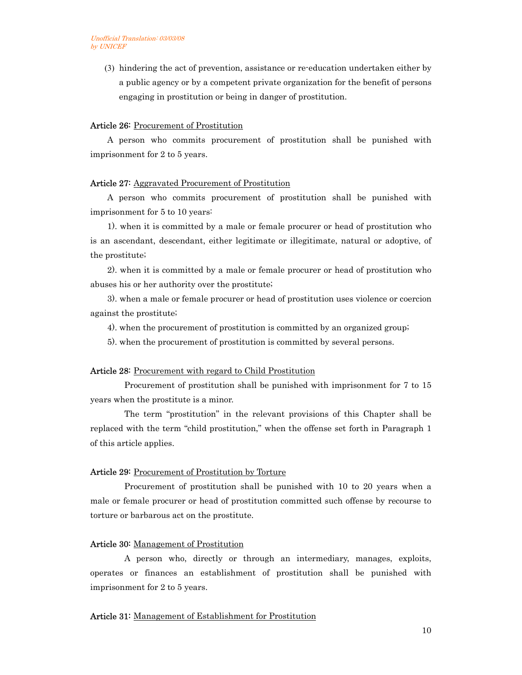(3) hindering the act of prevention, assistance or re-education undertaken either by a public agency or by a competent private organization for the benefit of persons engaging in prostitution or being in danger of prostitution.

#### Article 26: Procurement of Prostitution

A person who commits procurement of prostitution shall be punished with imprisonment for 2 to 5 years.

#### Article 27: Aggravated Procurement of Prostitution

A person who commits procurement of prostitution shall be punished with imprisonment for 5 to 10 years:

1). when it is committed by a male or female procurer or head of prostitution who is an ascendant, descendant, either legitimate or illegitimate, natural or adoptive, of the prostitute;

2). when it is committed by a male or female procurer or head of prostitution who abuses his or her authority over the prostitute;

3). when a male or female procurer or head of prostitution uses violence or coercion against the prostitute;

4). when the procurement of prostitution is committed by an organized group;

5). when the procurement of prostitution is committed by several persons.

#### Article 28: Procurement with regard to Child Prostitution

Procurement of prostitution shall be punished with imprisonment for 7 to 15 years when the prostitute is a minor.

The term "prostitution" in the relevant provisions of this Chapter shall be replaced with the term "child prostitution," when the offense set forth in Paragraph 1 of this article applies.

#### Article 29: Procurement of Prostitution by Torture

Procurement of prostitution shall be punished with 10 to 20 years when a male or female procurer or head of prostitution committed such offense by recourse to torture or barbarous act on the prostitute.

#### Article 30: Management of Prostitution

A person who, directly or through an intermediary, manages, exploits, operates or finances an establishment of prostitution shall be punished with imprisonment for 2 to 5 years.

#### Article 31: Management of Establishment for Prostitution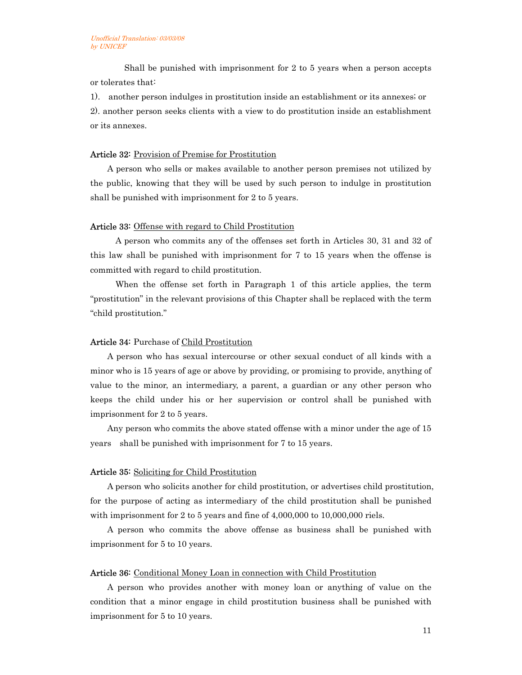Shall be punished with imprisonment for 2 to 5 years when a person accepts or tolerates that:

1). another person indulges in prostitution inside an establishment or its annexes; or 2). another person seeks clients with a view to do prostitution inside an establishment or its annexes.

#### Article 32: Provision of Premise for Prostitution

A person who sells or makes available to another person premises not utilized by the public, knowing that they will be used by such person to indulge in prostitution shall be punished with imprisonment for 2 to 5 years.

#### Article 33: Offense with regard to Child Prostitution

 A person who commits any of the offenses set forth in Articles 30, 31 and 32 of this law shall be punished with imprisonment for 7 to 15 years when the offense is committed with regard to child prostitution.

 When the offense set forth in Paragraph 1 of this article applies, the term "prostitution" in the relevant provisions of this Chapter shall be replaced with the term "child prostitution."

#### Article 34: Purchase of Child Prostitution

A person who has sexual intercourse or other sexual conduct of all kinds with a minor who is 15 years of age or above by providing, or promising to provide, anything of value to the minor, an intermediary, a parent, a guardian or any other person who keeps the child under his or her supervision or control shall be punished with imprisonment for 2 to 5 years.

Any person who commits the above stated offense with a minor under the age of 15 years shall be punished with imprisonment for 7 to 15 years.

#### Article 35: Soliciting for Child Prostitution

A person who solicits another for child prostitution, or advertises child prostitution, for the purpose of acting as intermediary of the child prostitution shall be punished with imprisonment for 2 to 5 years and fine of 4,000,000 to 10,000,000 riels.

A person who commits the above offense as business shall be punished with imprisonment for 5 to 10 years.

#### Article 36: Conditional Money Loan in connection with Child Prostitution

A person who provides another with money loan or anything of value on the condition that a minor engage in child prostitution business shall be punished with imprisonment for 5 to 10 years.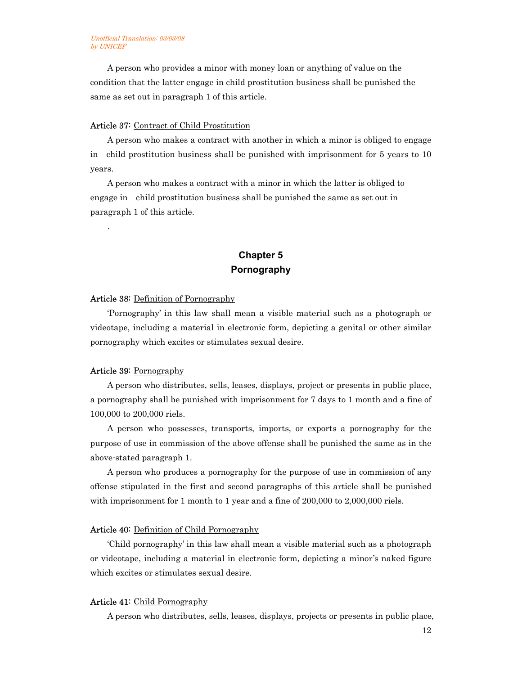A person who provides a minor with money loan or anything of value on the condition that the latter engage in child prostitution business shall be punished the same as set out in paragraph 1 of this article.

#### Article 37: Contract of Child Prostitution

A person who makes a contract with another in which a minor is obliged to engage in child prostitution business shall be punished with imprisonment for 5 years to 10 years.

A person who makes a contract with a minor in which the latter is obliged to engage in child prostitution business shall be punished the same as set out in paragraph 1 of this article.

## **Chapter 5 Pornography**

#### Article 38: Definition of Pornography

'Pornography' in this law shall mean a visible material such as a photograph or videotape, including a material in electronic form, depicting a genital or other similar pornography which excites or stimulates sexual desire.

#### Article 39: Pornography

.

A person who distributes, sells, leases, displays, project or presents in public place, a pornography shall be punished with imprisonment for 7 days to 1 month and a fine of 100,000 to 200,000 riels.

A person who possesses, transports, imports, or exports a pornography for the purpose of use in commission of the above offense shall be punished the same as in the above-stated paragraph 1.

A person who produces a pornography for the purpose of use in commission of any offense stipulated in the first and second paragraphs of this article shall be punished with imprisonment for 1 month to 1 year and a fine of 200,000 to 2,000,000 riels.

#### Article 40: Definition of Child Pornography

'Child pornography' in this law shall mean a visible material such as a photograph or videotape, including a material in electronic form, depicting a minor's naked figure which excites or stimulates sexual desire.

#### Article 41: Child Pornography

A person who distributes, sells, leases, displays, projects or presents in public place,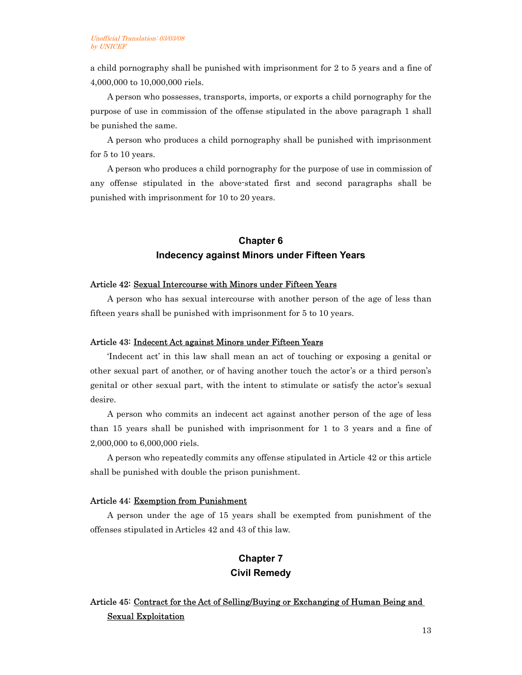a child pornography shall be punished with imprisonment for 2 to 5 years and a fine of 4,000,000 to 10,000,000 riels.

A person who possesses, transports, imports, or exports a child pornography for the purpose of use in commission of the offense stipulated in the above paragraph 1 shall be punished the same.

A person who produces a child pornography shall be punished with imprisonment for 5 to 10 years.

A person who produces a child pornography for the purpose of use in commission of any offense stipulated in the above-stated first and second paragraphs shall be punished with imprisonment for 10 to 20 years.

## **Chapter 6 Indecency against Minors under Fifteen Years**

#### Article 42: Sexual Intercourse with Minors under Fifteen Years

A person who has sexual intercourse with another person of the age of less than fifteen years shall be punished with imprisonment for 5 to 10 years.

#### Article 43: Indecent Act against Minors under Fifteen Years

'Indecent act' in this law shall mean an act of touching or exposing a genital or other sexual part of another, or of having another touch the actor's or a third person's genital or other sexual part, with the intent to stimulate or satisfy the actor's sexual desire.

A person who commits an indecent act against another person of the age of less than 15 years shall be punished with imprisonment for 1 to 3 years and a fine of 2,000,000 to 6,000,000 riels.

A person who repeatedly commits any offense stipulated in Article 42 or this article shall be punished with double the prison punishment.

#### Article 44: Exemption from Punishment

A person under the age of 15 years shall be exempted from punishment of the offenses stipulated in Articles 42 and 43 of this law.

## **Chapter 7 Civil Remedy**

## Article 45: Contract for the Act of Selling/Buying or Exchanging of Human Being and Sexual Exploitation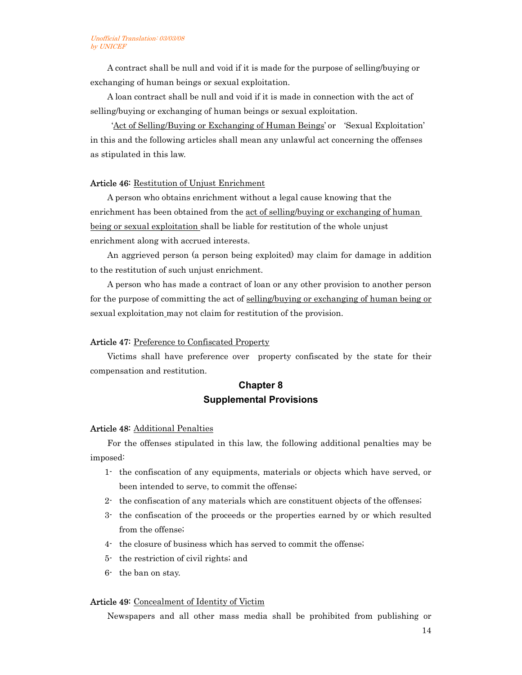A contract shall be null and void if it is made for the purpose of selling/buying or exchanging of human beings or sexual exploitation.

A loan contract shall be null and void if it is made in connection with the act of selling/buying or exchanging of human beings or sexual exploitation.

 'Act of Selling/Buying or Exchanging of Human Beings' or 'Sexual Exploitation' in this and the following articles shall mean any unlawful act concerning the offenses as stipulated in this law.

#### Article 46: Restitution of Unjust Enrichment

A person who obtains enrichment without a legal cause knowing that the enrichment has been obtained from the <u>act of selling/buying or exchanging of human</u> being or sexual exploitation shall be liable for restitution of the whole unjust enrichment along with accrued interests.

An aggrieved person (a person being exploited) may claim for damage in addition to the restitution of such unjust enrichment.

A person who has made a contract of loan or any other provision to another person for the purpose of committing the act of selling/buying or exchanging of human being or sexual exploitation may not claim for restitution of the provision.

#### Article 47: Preference to Confiscated Property

Victims shall have preference over property confiscated by the state for their compensation and restitution.

## **Chapter 8 Supplemental Provisions**

#### Article 48: Additional Penalties

For the offenses stipulated in this law, the following additional penalties may be imposed:

- 1- the confiscation of any equipments, materials or objects which have served, or been intended to serve, to commit the offense;
- 2- the confiscation of any materials which are constituent objects of the offenses;
- 3- the confiscation of the proceeds or the properties earned by or which resulted from the offense;
- 4- the closure of business which has served to commit the offense;
- 5- the restriction of civil rights; and
- 6- the ban on stay.

#### Article 49: Concealment of Identity of Victim

Newspapers and all other mass media shall be prohibited from publishing or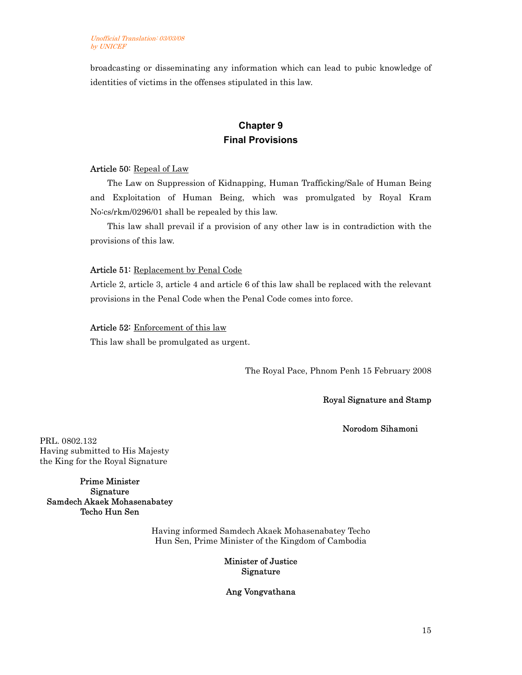broadcasting or disseminating any information which can lead to pubic knowledge of identities of victims in the offenses stipulated in this law.

## **Chapter 9 Final Provisions**

#### Article 50: Repeal of Law

The Law on Suppression of Kidnapping, Human Trafficking/Sale of Human Being and Exploitation of Human Being, which was promulgated by Royal Kram No:cs/rkm/0296/01 shall be repealed by this law.

This law shall prevail if a provision of any other law is in contradiction with the provisions of this law.

#### Article 51: Replacement by Penal Code

Article 2, article 3, article 4 and article 6 of this law shall be replaced with the relevant provisions in the Penal Code when the Penal Code comes into force.

#### Article 52: Enforcement of this law

This law shall be promulgated as urgent.

The Royal Pace, Phnom Penh 15 February 2008

#### Royal Signature and Stamp

Norodom Sihamoni

PRL. 0802.132 Having submitted to His Majesty the King for the Royal Signature

Prime Minister Signature Samdech Akaek Mohasenabatey Techo Hun Sen

> Having informed Samdech Akaek Mohasenabatey Techo Hun Sen, Prime Minister of the Kingdom of Cambodia

#### Minister of Justice Signature

Ang Vongvathana